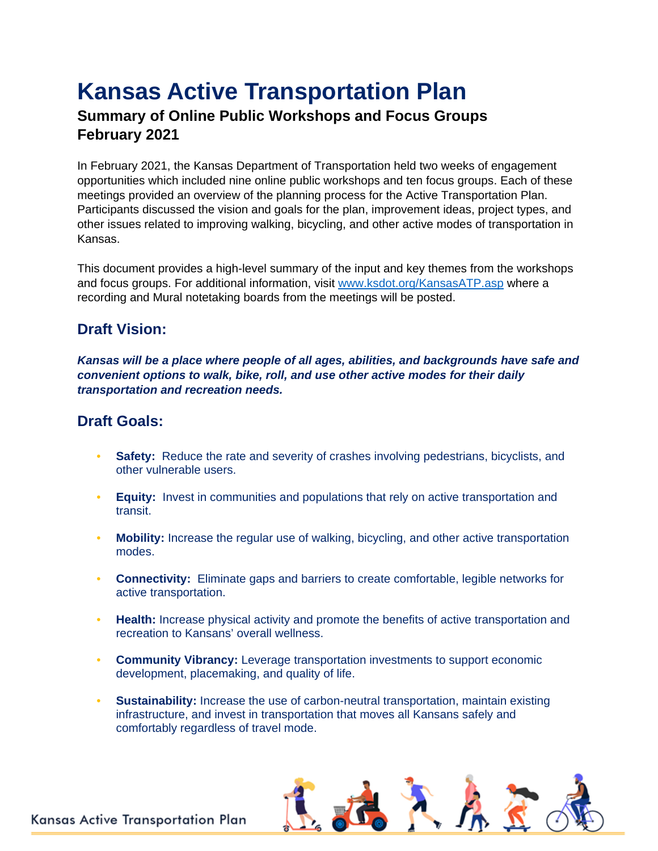# **Kansas Active Transportation Plan**

# **Summary of Online Public Workshops and Focus Groups February 2021**

In February 2021, the Kansas Department of Transportation held two weeks of engagement opportunities which included nine online public workshops and ten focus groups. Each of these meetings provided an overview of the planning process for the Active Transportation Plan. Participants discussed the vision and goals for the plan, improvement ideas, project types, and other issues related to improving walking, bicycling, and other active modes of transportation in Kansas.

This document provides a high-level summary of the input and key themes from the workshops and focus groups. For additional information, visit www.ksdot.org/KansasATP.asp where a recording and Mural notetaking boards from the meetings will be posted.

# **Draft Vision:**

*Kansas will be a place where people of all ages, abilities, and backgrounds have safe and convenient options to walk, bike, roll, and use other active modes for their daily transportation and recreation needs.*

# **Draft Goals:**

- **Safety:** Reduce the rate and severity of crashes involving pedestrians, bicyclists, and other vulnerable users.
- **Equity:** Invest in communities and populations that rely on active transportation and transit.
- **Mobility:** Increase the regular use of walking, bicycling, and other active transportation modes.
- **Connectivity:** Eliminate gaps and barriers to create comfortable, legible networks for active transportation.
- **Health:** Increase physical activity and promote the benefits of active transportation and recreation to Kansans' overall wellness.
- **Community Vibrancy:** Leverage transportation investments to support economic development, placemaking, and quality of life.
- **Sustainability:** Increase the use of carbon-neutral transportation, maintain existing infrastructure, and invest in transportation that moves all Kansans safely and comfortably regardless of travel mode.

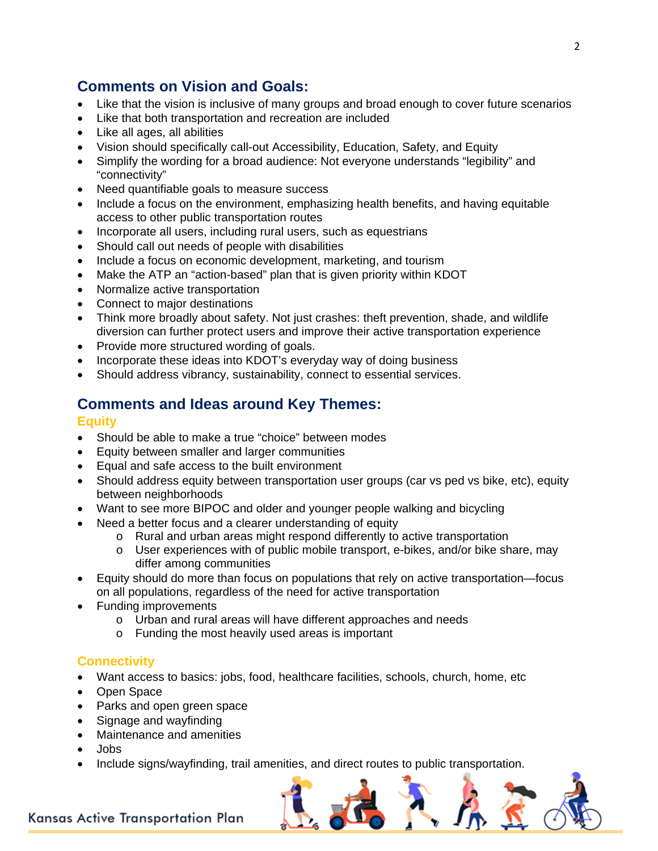## **Comments on Vision and Goals:**

- Like that the vision is inclusive of many groups and broad enough to cover future scenarios
- Like that both transportation and recreation are included
- Like all ages, all abilities
- Vision should specifically call-out Accessibility, Education, Safety, and Equity
- Simplify the wording for a broad audience: Not evervone understands "legibility" and "connectivity"
- Need quantifiable goals to measure success
- Include a focus on the environment, emphasizing health benefits, and having equitable access to other public transportation routes
- Incorporate all users, including rural users, such as equestrians
- Should call out needs of people with disabilities
- Include a focus on economic development, marketing, and tourism
- Make the ATP an "action-based" plan that is given priority within KDOT
- Normalize active transportation
- Connect to major destinations
- Think more broadly about safety. Not just crashes: theft prevention, shade, and wildlife diversion can further protect users and improve their active transportation experience
- Provide more structured wording of goals.
- Incorporate these ideas into KDOT's everyday way of doing business
- Should address vibrancy, sustainability, connect to essential services.

## **Comments and Ideas around Key Themes:**

### **Equity**

- Should be able to make a true "choice" between modes
- Equity between smaller and larger communities
- Equal and safe access to the built environment
- Should address equity between transportation user groups (car vs ped vs bike, etc), equity between neighborhoods
- Want to see more BIPOC and older and younger people walking and bicycling
- Need a better focus and a clearer understanding of equity
	- o Rural and urban areas might respond differently to active transportation
	- o User experiences with of public mobile transport, e-bikes, and/or bike share, may differ among communities
- Equity should do more than focus on populations that rely on active transportation—focus on all populations, regardless of the need for active transportation
- Funding improvements
	- o Urban and rural areas will have different approaches and needs
	- o Funding the most heavily used areas is important

#### **Connectivity**

- Want access to basics: jobs, food, healthcare facilities, schools, church, home, etc
- Open Space
- Parks and open green space
- Signage and wayfinding
- Maintenance and amenities
- Jobs
- Include signs/wayfinding, trail amenities, and direct routes to public transportation.



Kansas Active Transportation Plan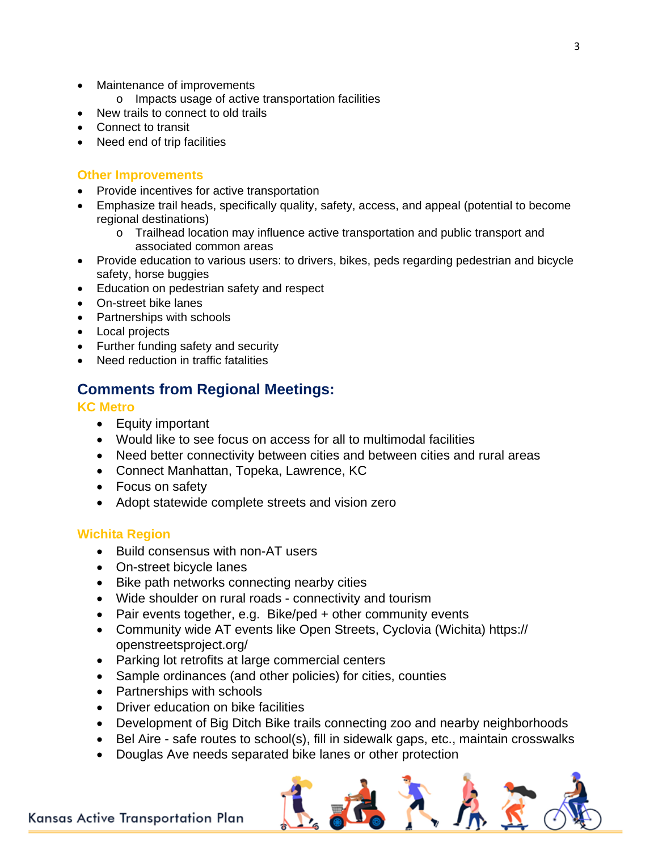- Maintenance of improvements
	- o Impacts usage of active transportation facilities
- New trails to connect to old trails
- Connect to transit
- Need end of trip facilities

### **Other Improvements**

- Provide incentives for active transportation
- Emphasize trail heads, specifically quality, safety, access, and appeal (potential to become regional destinations)
	- o Trailhead location may influence active transportation and public transport and associated common areas
- Provide education to various users: to drivers, bikes, peds regarding pedestrian and bicycle safety, horse buggies
- Education on pedestrian safety and respect
- On-street bike lanes
- Partnerships with schools
- Local projects
- Further funding safety and security
- Need reduction in traffic fatalities

## **Comments from Regional Meetings:**

#### **KC Metro**

- Equity important
- Would like to see focus on access for all to multimodal facilities
- Need better connectivity between cities and between cities and rural areas
- Connect Manhattan, Topeka, Lawrence, KC
- Focus on safety
- Adopt statewide complete streets and vision zero

## **Wichita Region**

- Build consensus with non-AT users
- On-street bicycle lanes
- Bike path networks connecting nearby cities
- Wide shoulder on rural roads connectivity and tourism
- Pair events together, e.g. Bike/ped + other community events
- Community wide AT events like Open Streets, Cyclovia (Wichita) https:// openstreetsproject.org/
- Parking lot retrofits at large commercial centers
- Sample ordinances (and other policies) for cities, counties
- Partnerships with schools
- Driver education on bike facilities
- Development of Big Ditch Bike trails connecting zoo and nearby neighborhoods
- Bel Aire safe routes to school(s), fill in sidewalk gaps, etc., maintain crosswalks
- Douglas Ave needs separated bike lanes or other protection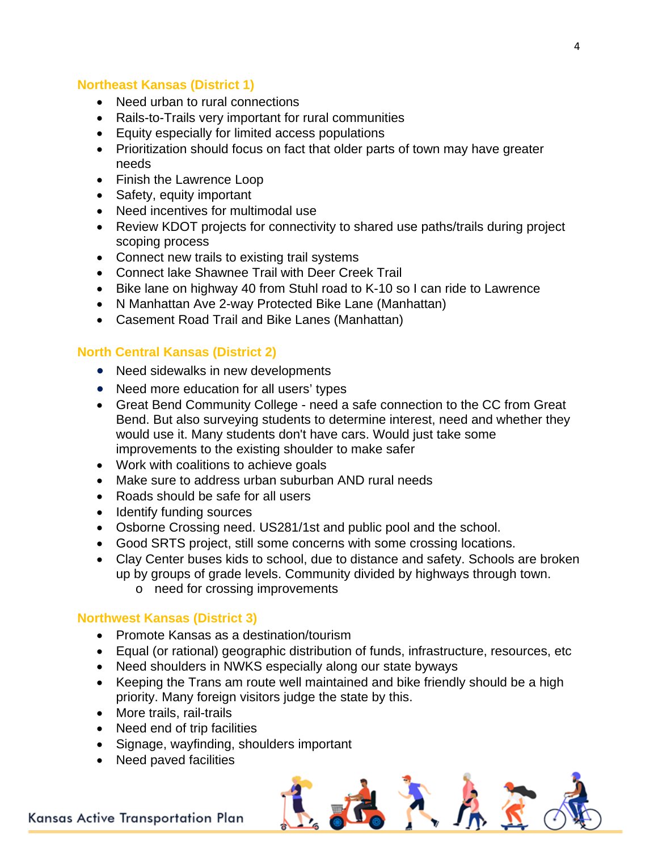## **Northeast Kansas (District 1)**

- Need urban to rural connections
- Rails-to-Trails very important for rural communities
- Equity especially for limited access populations
- Prioritization should focus on fact that older parts of town may have greater needs
- Finish the Lawrence Loop
- Safety, equity important
- Need incentives for multimodal use
- Review KDOT projects for connectivity to shared use paths/trails during project scoping process
- Connect new trails to existing trail systems
- Connect lake Shawnee Trail with Deer Creek Trail
- Bike lane on highway 40 from Stuhl road to K-10 so I can ride to Lawrence
- N Manhattan Ave 2-way Protected Bike Lane (Manhattan)
- Casement Road Trail and Bike Lanes (Manhattan)

#### **North Central Kansas (District 2)**

- Need sidewalks in new developments
- Need more education for all users' types
- Great Bend Community College need a safe connection to the CC from Great Bend. But also surveying students to determine interest, need and whether they would use it. Many students don't have cars. Would just take some improvements to the existing shoulder to make safer
- Work with coalitions to achieve goals
- Make sure to address urban suburban AND rural needs
- Roads should be safe for all users
- Identify funding sources
- Osborne Crossing need. US281/1st and public pool and the school.
- Good SRTS project, still some concerns with some crossing locations.
- Clay Center buses kids to school, due to distance and safety. Schools are broken up by groups of grade levels. Community divided by highways through town.
	- o need for crossing improvements

#### **Northwest Kansas (District 3)**

- Promote Kansas as a destination/tourism
- Equal (or rational) geographic distribution of funds, infrastructure, resources, etc
- Need shoulders in NWKS especially along our state byways
- Keeping the Trans am route well maintained and bike friendly should be a high priority. Many foreign visitors judge the state by this.
- More trails, rail-trails
- Need end of trip facilities
- Signage, wayfinding, shoulders important
- Need paved facilities

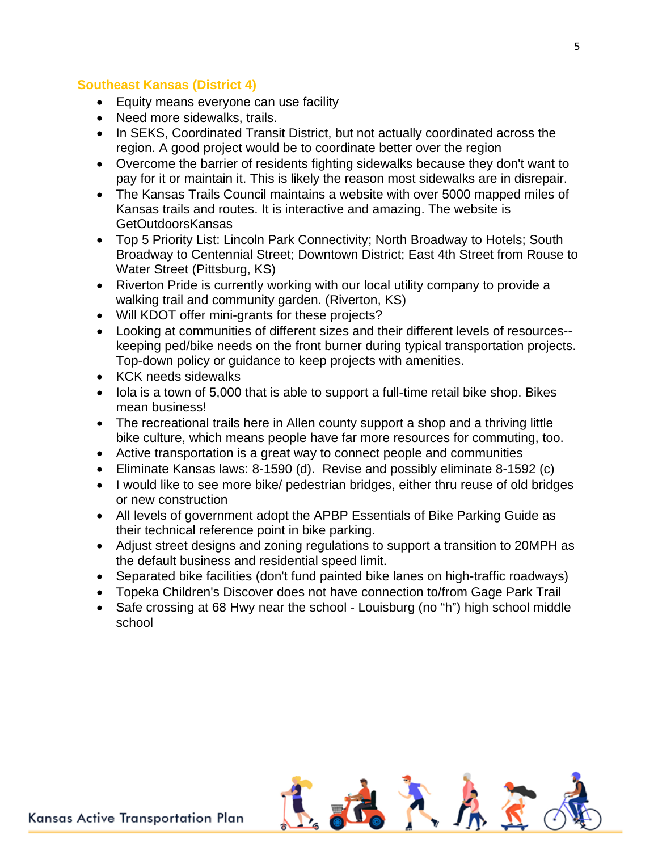## **Southeast Kansas (District 4)**

- Equity means everyone can use facility
- Need more sidewalks, trails.
- In SEKS, Coordinated Transit District, but not actually coordinated across the region. A good project would be to coordinate better over the region
- Overcome the barrier of residents fighting sidewalks because they don't want to pay for it or maintain it. This is likely the reason most sidewalks are in disrepair.
- The Kansas Trails Council maintains a website with over 5000 mapped miles of Kansas trails and routes. It is interactive and amazing. The website is GetOutdoorsKansas
- Top 5 Priority List: Lincoln Park Connectivity; North Broadway to Hotels; South Broadway to Centennial Street; Downtown District; East 4th Street from Rouse to Water Street (Pittsburg, KS)
- Riverton Pride is currently working with our local utility company to provide a walking trail and community garden. (Riverton, KS)
- Will KDOT offer mini-grants for these projects?
- Looking at communities of different sizes and their different levels of resources- keeping ped/bike needs on the front burner during typical transportation projects. Top-down policy or guidance to keep projects with amenities.
- KCK needs sidewalks
- Iola is a town of 5,000 that is able to support a full-time retail bike shop. Bikes mean business!
- The recreational trails here in Allen county support a shop and a thriving little bike culture, which means people have far more resources for commuting, too.
- Active transportation is a great way to connect people and communities
- Eliminate Kansas laws: 8-1590 (d). Revise and possibly eliminate 8-1592 (c)
- I would like to see more bike/ pedestrian bridges, either thru reuse of old bridges or new construction
- All levels of government adopt the APBP Essentials of Bike Parking Guide as their technical reference point in bike parking.
- Adjust street designs and zoning regulations to support a transition to 20MPH as the default business and residential speed limit.
- Separated bike facilities (don't fund painted bike lanes on high-traffic roadways)
- Topeka Children's Discover does not have connection to/from Gage Park Trail
- Safe crossing at 68 Hwy near the school Louisburg (no "h") high school middle school